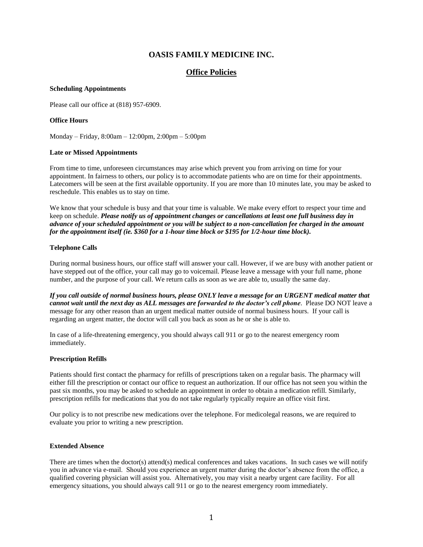# **OASIS FAMILY MEDICINE INC.**

## **Office Policies**

### **Scheduling Appointments**

Please call our office at (818) 957-6909.

### **Office Hours**

Monday – Friday, 8:00am – 12:00pm, 2:00pm – 5:00pm

### **Late or Missed Appointments**

From time to time, unforeseen circumstances may arise which prevent you from arriving on time for your appointment. In fairness to others, our policy is to accommodate patients who are on time for their appointments. Latecomers will be seen at the first available opportunity. If you are more than 10 minutes late, you may be asked to reschedule. This enables us to stay on time.

We know that your schedule is busy and that your time is valuable. We make every effort to respect your time and keep on schedule. *Please notify us of appointment changes or cancellations at least one full business day in advance of your scheduled appointment or you will be subject to a non-cancellation fee charged in the amount for the appointment itself (ie. \$360 for a 1-hour time block or \$195 for 1/2-hour time block).*

### **Telephone Calls**

During normal business hours, our office staff will answer your call. However, if we are busy with another patient or have stepped out of the office, your call may go to voicemail. Please leave a message with your full name, phone number, and the purpose of your call. We return calls as soon as we are able to, usually the same day.

*If you call outside of normal business hours, please ONLY leave a message for an URGENT medical matter that cannot wait until the next day as ALL messages are forwarded to the doctor's cell phone*. Please DO NOT leave a message for any other reason than an urgent medical matter outside of normal business hours. If your call is regarding an urgent matter, the doctor will call you back as soon as he or she is able to.

In case of a life-threatening emergency, you should always call 911 or go to the nearest emergency room immediately.

### **Prescription Refills**

Patients should first contact the pharmacy for refills of prescriptions taken on a regular basis. The pharmacy will either fill the prescription or contact our office to request an authorization. If our office has not seen you within the past six months, you may be asked to schedule an appointment in order to obtain a medication refill. Similarly, prescription refills for medications that you do not take regularly typically require an office visit first.

Our policy is to not prescribe new medications over the telephone. For medicolegal reasons, we are required to evaluate you prior to writing a new prescription.

### **Extended Absence**

There are times when the doctor(s) attend(s) medical conferences and takes vacations. In such cases we will notify you in advance via e-mail. Should you experience an urgent matter during the doctor's absence from the office, a qualified covering physician will assist you. Alternatively, you may visit a nearby urgent care facility. For all emergency situations, you should always call 911 or go to the nearest emergency room immediately.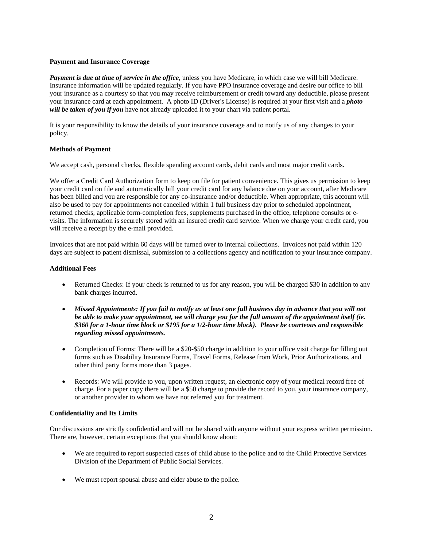### **Payment and Insurance Coverage**

*Payment is due at time of service in the office*, unless you have Medicare, in which case we will bill Medicare. Insurance information will be updated regularly. If you have PPO insurance coverage and desire our office to bill your insurance as a courtesy so that you may receive reimbursement or credit toward any deductible, please present your insurance card at each appointment. A photo ID (Driver's License) is required at your first visit and a *photo will be taken of you if you* have not already uploaded it to your chart via patient portal.

It is your responsibility to know the details of your insurance coverage and to notify us of any changes to your policy.

### **Methods of Payment**

We accept cash, personal checks, flexible spending account cards, debit cards and most major credit cards.

We offer a Credit Card Authorization form to keep on file for patient convenience. This gives us permission to keep your credit card on file and automatically bill your credit card for any balance due on your account, after Medicare has been billed and you are responsible for any co-insurance and/or deductible. When appropriate, this account will also be used to pay for appointments not cancelled within 1 full business day prior to scheduled appointment, returned checks, applicable form-completion fees, supplements purchased in the office, telephone consults or evisits. The information is securely stored with an insured credit card service. When we charge your credit card, you will receive a receipt by the e-mail provided.

Invoices that are not paid within 60 days will be turned over to internal collections. Invoices not paid within 120 days are subject to patient dismissal, submission to a collections agency and notification to your insurance company.

### **Additional Fees**

- Returned Checks: If your check is returned to us for any reason, you will be charged \$30 in addition to any bank charges incurred.
- *Missed Appointments: If you fail to notify us at least one full business day in advance that you will not be able to make your appointment, we will charge you for the full amount of the appointment itself (ie. \$360 for a 1-hour time block or \$195 for a 1/2-hour time block). Please be courteous and responsible regarding missed appointments.*
- Completion of Forms: There will be a \$20-\$50 charge in addition to your office visit charge for filling out forms such as Disability Insurance Forms, Travel Forms, Release from Work, Prior Authorizations, and other third party forms more than 3 pages.
- Records: We will provide to you, upon written request, an electronic copy of your medical record free of charge. For a paper copy there will be a \$50 charge to provide the record to you, your insurance company, or another provider to whom we have not referred you for treatment.

### **Confidentiality and Its Limits**

Our discussions are strictly confidential and will not be shared with anyone without your express written permission. There are, however, certain exceptions that you should know about:

- We are required to report suspected cases of child abuse to the police and to the Child Protective Services Division of the Department of Public Social Services.
- We must report spousal abuse and elder abuse to the police.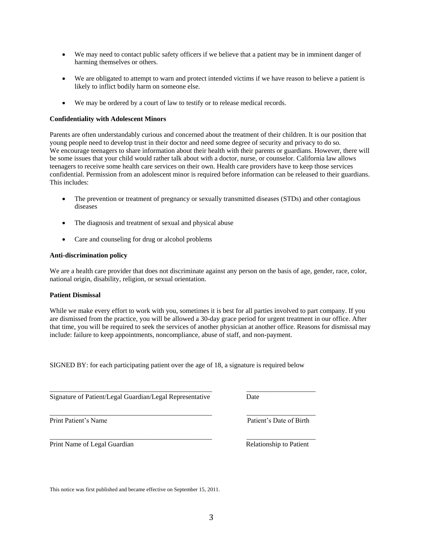- We may need to contact public safety officers if we believe that a patient may be in imminent danger of harming themselves or others.
- We are obligated to attempt to warn and protect intended victims if we have reason to believe a patient is likely to inflict bodily harm on someone else.
- We may be ordered by a court of law to testify or to release medical records.

### **Confidentiality with Adolescent Minors**

Parents are often understandably curious and concerned about the treatment of their children. It is our position that young people need to develop trust in their doctor and need some degree of security and privacy to do so. We encourage teenagers to share information about their health with their parents or guardians. However, there will be some issues that your child would rather talk about with a doctor, nurse, or counselor. California law allows teenagers to receive some health care services on their own. Health care providers have to keep those services confidential. Permission from an adolescent minor is required before information can be released to their guardians. This includes:

- The prevention or treatment of pregnancy or sexually transmitted diseases (STDs) and other contagious diseases
- The diagnosis and treatment of sexual and physical abuse
- Care and counseling for drug or alcohol problems

### **Anti-discrimination policy**

We are a health care provider that does not discriminate against any person on the basis of age, gender, race, color, national origin, disability, religion, or sexual orientation.

#### **Patient Dismissal**

While we make every effort to work with you, sometimes it is best for all parties involved to part company. If you are dismissed from the practice, you will be allowed a 30-day grace period for urgent treatment in our office. After that time, you will be required to seek the services of another physician at another office. Reasons for dismissal may include: failure to keep appointments, noncompliance, abuse of staff, and non-payment.

SIGNED BY: for each participating patient over the age of 18, a signature is required below

\_\_\_\_\_\_\_\_\_\_\_\_\_\_\_\_\_\_\_\_\_\_\_\_\_\_\_\_\_\_\_\_\_\_\_\_\_\_\_\_\_\_\_\_\_\_\_ \_\_\_\_\_\_\_\_\_\_\_\_\_\_\_\_\_\_\_\_

\_\_\_\_\_\_\_\_\_\_\_\_\_\_\_\_\_\_\_\_\_\_\_\_\_\_\_\_\_\_\_\_\_\_\_\_\_\_\_\_\_\_\_\_\_\_\_ \_\_\_\_\_\_\_\_\_\_\_\_\_\_\_\_\_\_\_\_

Signature of Patient/Legal Guardian/Legal Representative Date

Print Patient's Name Patient's Date of Birth

\_\_\_\_\_\_\_\_\_\_\_\_\_\_\_\_\_\_\_\_\_\_\_\_\_\_\_\_\_\_\_\_\_\_\_\_\_\_\_\_\_\_\_\_\_\_\_ \_\_\_\_\_\_\_\_\_\_\_\_\_\_\_\_\_\_\_\_ Print Name of Legal Guardian **Relationship to Patient** Relationship to Patient

This notice was first published and became effective on September 15, 2011.